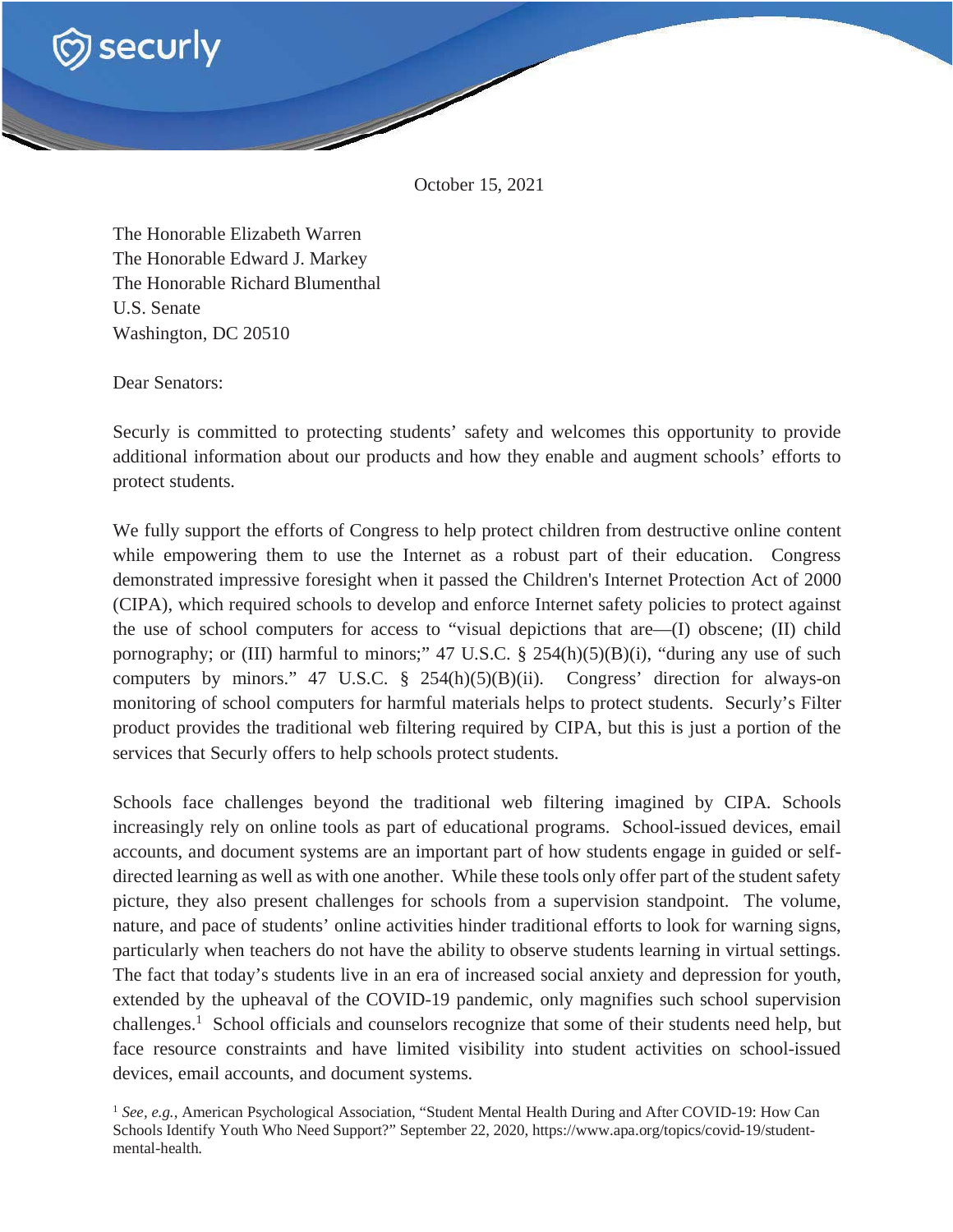

October 15, 2021

The Honorable Elizabeth Warren The Honorable Edward J. Markey The Honorable Richard Blumenthal U.S. Senate Washington, DC 20510

Dear Senators:

Securly is committed to protecting students' safety and welcomes this opportunity to provide additional information about our products and how they enable and augment schools' efforts to protect students.

We fully support the efforts of Congress to help protect children from destructive online content while empowering them to use the Internet as a robust part of their education. Congress demonstrated impressive foresight when it passed the Children's Internet Protection Act of 2000 (CIPA), which required schools to develop and enforce Internet safety policies to protect against the use of school computers for access to "visual depictions that are—(I) obscene; (II) child pornography; or (III) harmful to minors;"  $47 \text{ U.S.C. }$  \$  $254(h)(5)(B)(i)$ , "during any use of such computers by minors." 47 U.S.C.  $\S$  254(h)(5)(B)(ii). Congress' direction for always-on monitoring of school computers for harmful materials helps to protect students. Securly's Filter product provides the traditional web filtering required by CIPA, but this is just a portion of the services that Securly offers to help schools protect students.

Schools face challenges beyond the traditional web filtering imagined by CIPA. Schools increasingly rely on online tools as part of educational programs. School-issued devices, email accounts, and document systems are an important part of how students engage in guided or selfdirected learning as well as with one another. While these tools only offer part of the student safety picture, they also present challenges for schools from a supervision standpoint. The volume, nature, and pace of students' online activities hinder traditional efforts to look for warning signs, particularly when teachers do not have the ability to observe students learning in virtual settings. The fact that today's students live in an era of increased social anxiety and depression for youth, extended by the upheaval of the COVID-19 pandemic, only magnifies such school supervision challenges.<sup>1</sup> School officials and counselors recognize that some of their students need help, but face resource constraints and have limited visibility into student activities on school-issued devices, email accounts, and document systems.

<sup>1</sup> See, e.g., American Psychological Association, "Student Mental Health During and After COVID-19: How Can Schools Identify Youth Who Need Support?" September 22, 2020, https://www.apa.org/topics/covid-19/studentmental-health.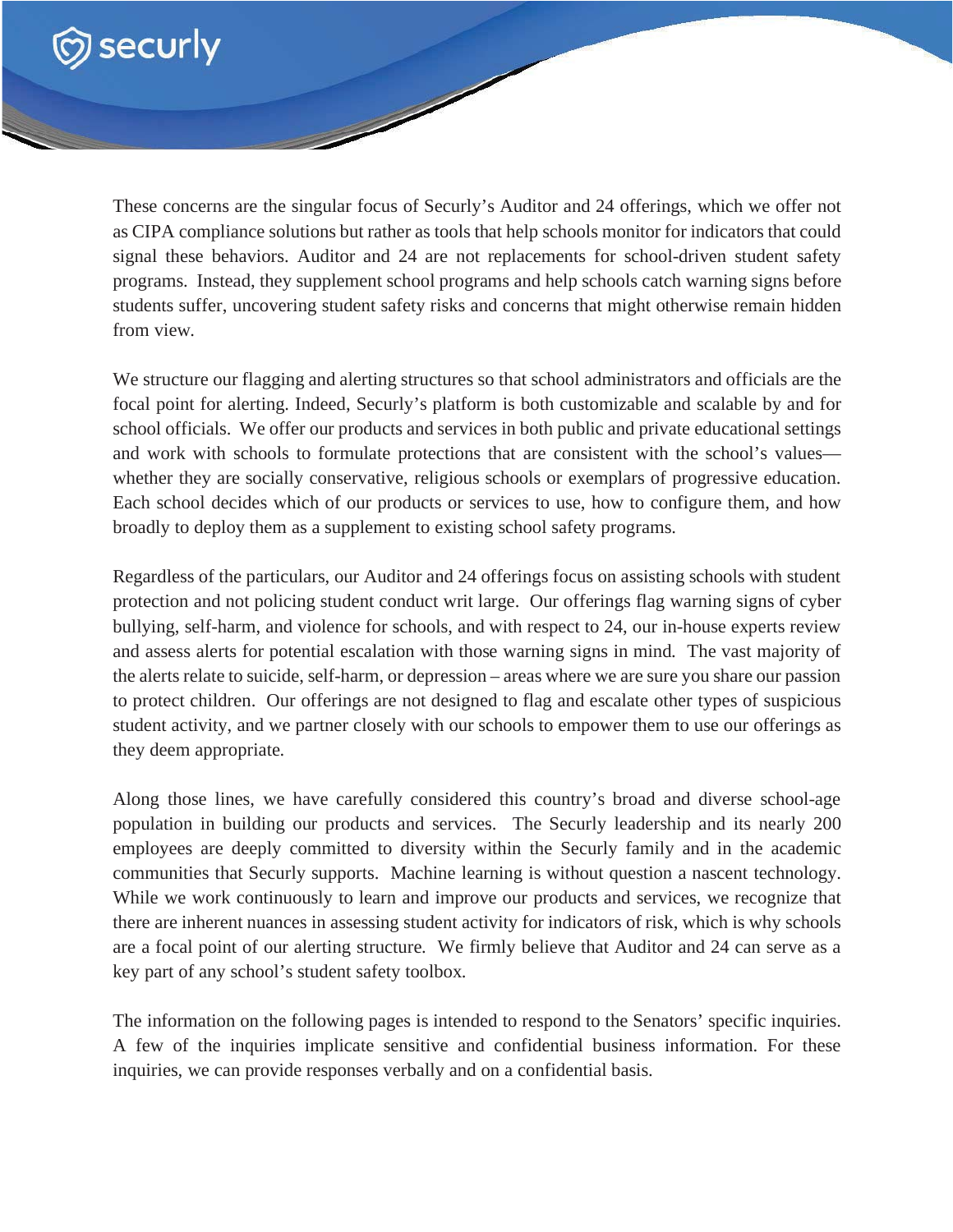

These concerns are the singular focus of Securly's Auditor and 24 offerings, which we offer not as CIPA compliance solutions but rather as tools that help schools monitor for indicators that could signal these behaviors. Auditor and 24 are not replacements for school-driven student safety programs. Instead, they supplement school programs and help schools catch warning signs before students suffer, uncovering student safety risks and concerns that might otherwise remain hidden from view.

We structure our flagging and alerting structures so that school administrators and officials are the focal point for alerting. Indeed, Securly's platform is both customizable and scalable by and for school officials. We offer our products and services in both public and private educational settings and work with schools to formulate protections that are consistent with the school's values whether they are socially conservative, religious schools or exemplars of progressive education. Each school decides which of our products or services to use, how to configure them, and how broadly to deploy them as a supplement to existing school safety programs.

Regardless of the particulars, our Auditor and 24 offerings focus on assisting schools with student protection and not policing student conduct writ large. Our offerings flag warning signs of cyber bullying, self-harm, and violence for schools, and with respect to 24, our in-house experts review and assess alerts for potential escalation with those warning signs in mind. The vast majority of the alerts relate to suicide, self-harm, or depression – areas where we are sure you share our passion to protect children. Our offerings are not designed to flag and escalate other types of suspicious student activity, and we partner closely with our schools to empower them to use our offerings as they deem appropriate.

Along those lines, we have carefully considered this country's broad and diverse school-age population in building our products and services. The Securly leadership and its nearly 200 employees are deeply committed to diversity within the Securly family and in the academic communities that Securly supports. Machine learning is without question a nascent technology. While we work continuously to learn and improve our products and services, we recognize that there are inherent nuances in assessing student activity for indicators of risk, which is why schools are a focal point of our alerting structure. We firmly believe that Auditor and 24 can serve as a key part of any school's student safety toolbox.

The information on the following pages is intended to respond to the Senators' specific inquiries. A few of the inquiries implicate sensitive and confidential business information. For these inquiries, we can provide responses verbally and on a confidential basis.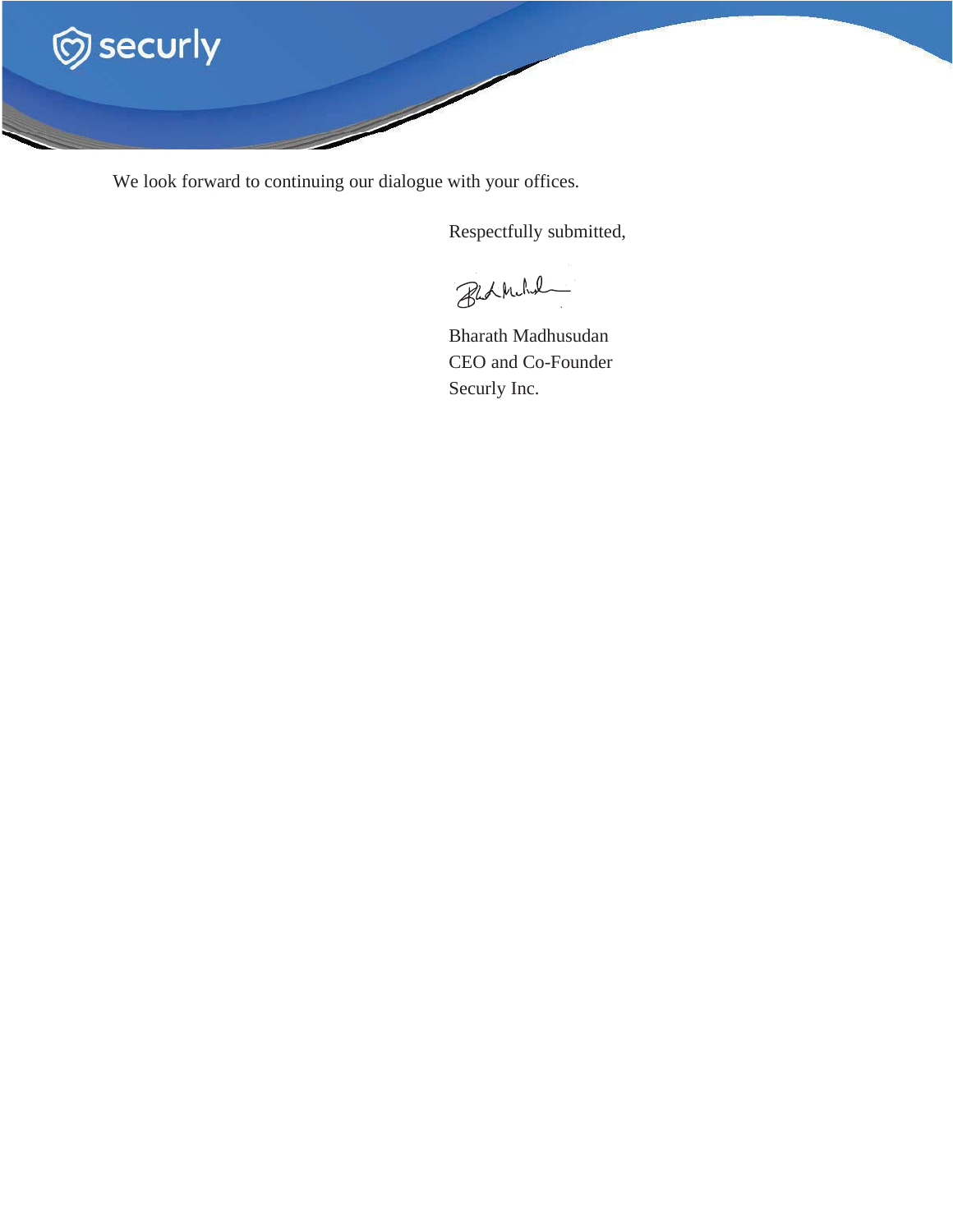

We look forward to continuing our dialogue with your offices.

Respectfully submitted,

Blackholm

Bharath Madhusudan CEO and Co-Founder Securly Inc.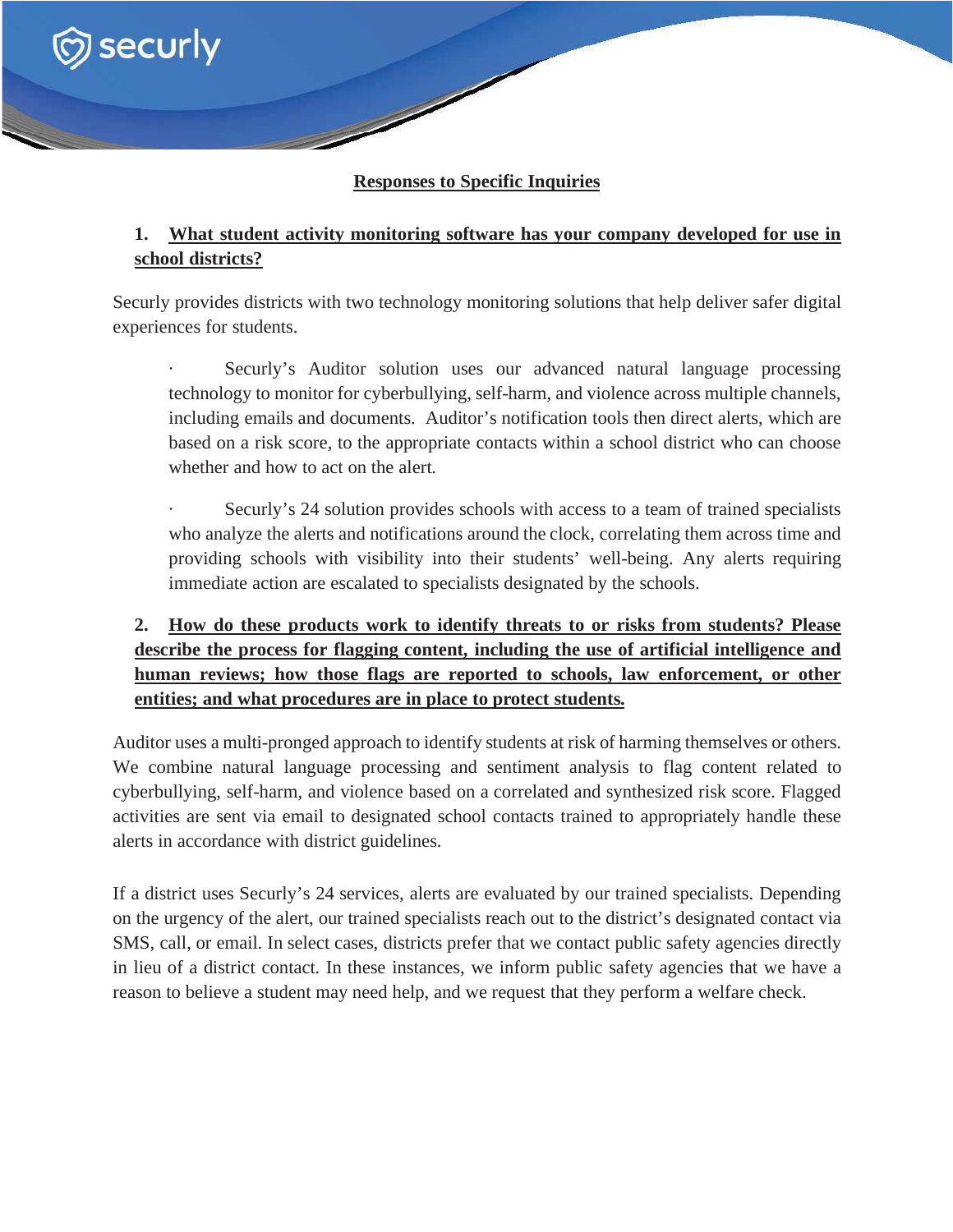

ි) securly

## **1. What student activity monitoring software has your company developed for use in school districts?**

Securly provides districts with two technology monitoring solutions that help deliver safer digital experiences for students.

Securly's Auditor solution uses our advanced natural language processing technology to monitor for cyberbullying, self-harm, and violence across multiple channels, including emails and documents. Auditor's notification tools then direct alerts, which are based on a risk score, to the appropriate contacts within a school district who can choose whether and how to act on the alert.

Securly's 24 solution provides schools with access to a team of trained specialists who analyze the alerts and notifications around the clock, correlating them across time and providing schools with visibility into their students' well-being. Any alerts requiring immediate action are escalated to specialists designated by the schools.

# **2. How do these products work to identify threats to or risks from students? Please describe the process for flagging content, including the use of artificial intelligence and human reviews; how those flags are reported to schools, law enforcement, or other entities; and what procedures are in place to protect students.**

Auditor uses a multi-pronged approach to identify students at risk of harming themselves or others. We combine natural language processing and sentiment analysis to flag content related to cyberbullying, self-harm, and violence based on a correlated and synthesized risk score. Flagged activities are sent via email to designated school contacts trained to appropriately handle these alerts in accordance with district guidelines.

If a district uses Securly's 24 services, alerts are evaluated by our trained specialists. Depending on the urgency of the alert, our trained specialists reach out to the district's designated contact via SMS, call, or email. In select cases, districts prefer that we contact public safety agencies directly in lieu of a district contact. In these instances, we inform public safety agencies that we have a reason to believe a student may need help, and we request that they perform a welfare check.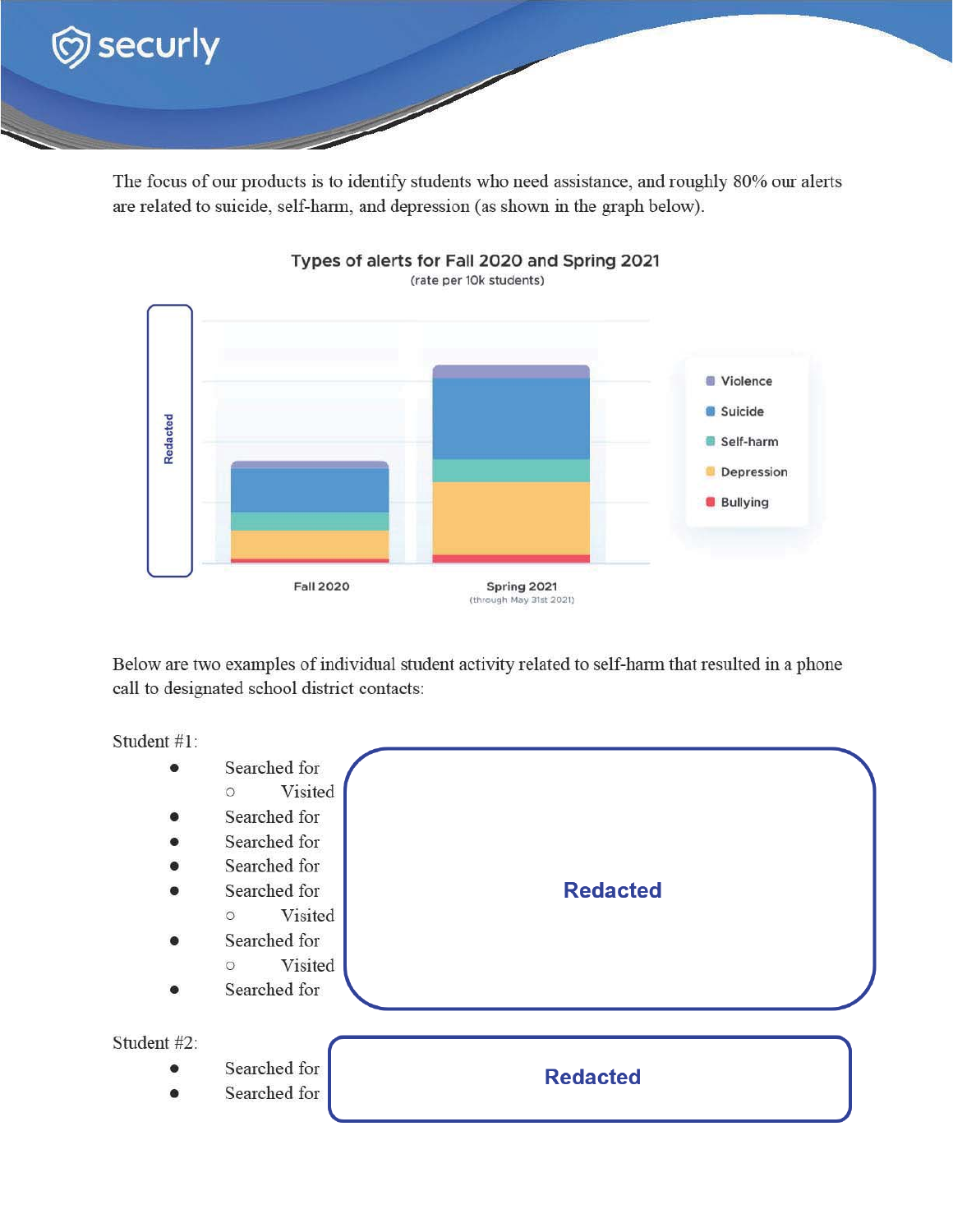

The focus of our products is to identify students who need assistance, and roughly 80% our alerts are related to suicide, self-harm, and depression (as shown in the graph below).



Below are two examples of individual student activity related to self-harm that resulted in a phone call to designated school district contacts:



Types of alerts for Fall 2020 and Spring 2021 (rate per 10k students)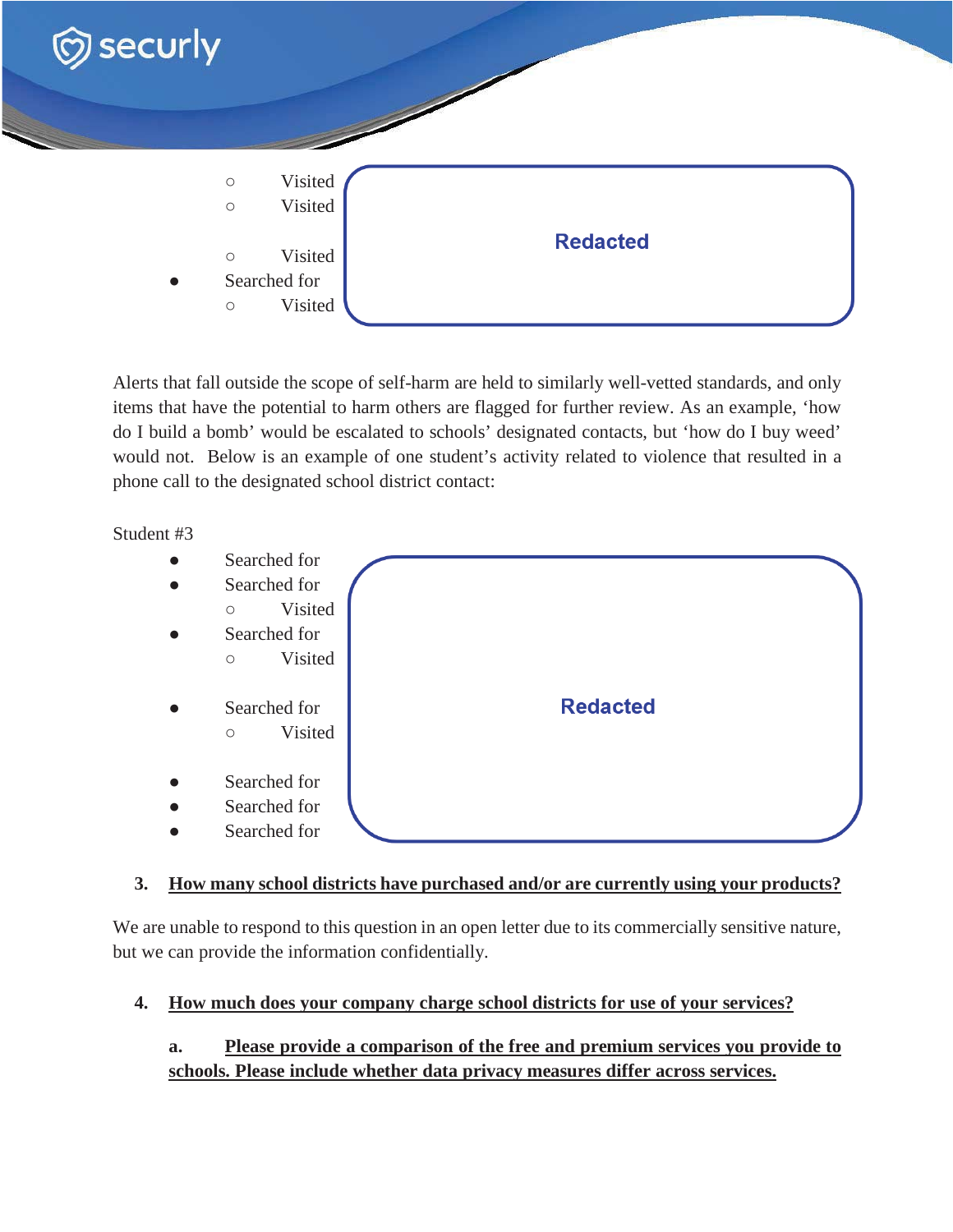

Alerts that fall outside the scope of self-harm are held to similarly well-vetted standards, and only items that have the potential to harm others are flagged for further review. As an example, 'how do I build a bomb' would be escalated to schools' designated contacts, but 'how do I buy weed' would not. Below is an example of one student's activity related to violence that resulted in a phone call to the designated school district contact:

Student #3



#### **3. How many school districts have purchased and/or are currently using your products?**

We are unable to respond to this question in an open letter due to its commercially sensitive nature, but we can provide the information confidentially.

## **4. How much does your company charge school districts for use of your services?**

# **a. Please provide a comparison of the free and premium services you provide to schools. Please include whether data privacy measures differ across services.**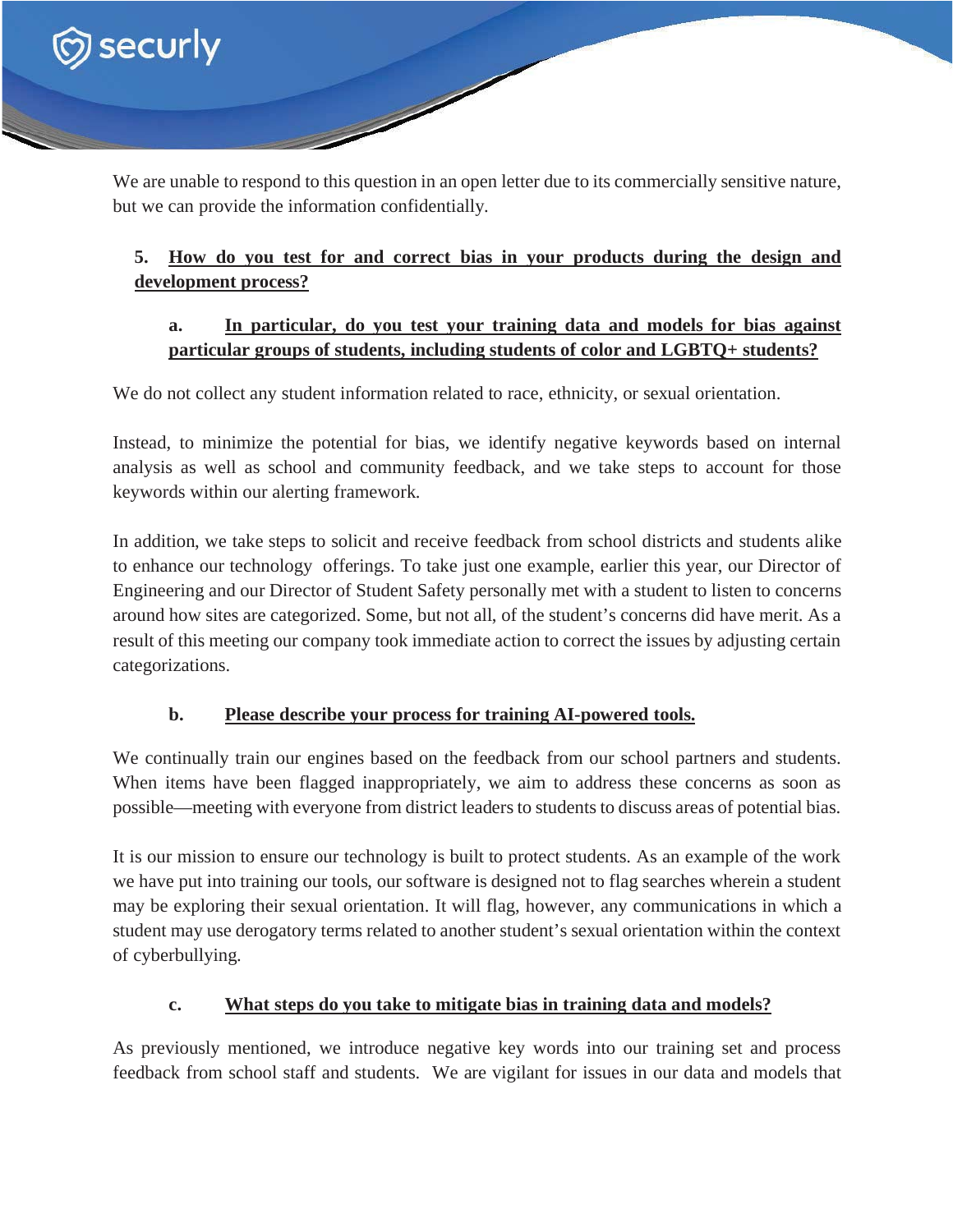

We are unable to respond to this question in an open letter due to its commercially sensitive nature, but we can provide the information confidentially.

 $\overline{\mathscr{S}}$ 

## **5. How do you test for and correct bias in your products during the design and development process?**

### **a. In particular, do you test your training data and models for bias against particular groups of students, including students of color and LGBTQ+ students?**

We do not collect any student information related to race, ethnicity, or sexual orientation.

Instead, to minimize the potential for bias, we identify negative keywords based on internal analysis as well as school and community feedback, and we take steps to account for those keywords within our alerting framework.

In addition, we take steps to solicit and receive feedback from school districts and students alike to enhance our technology offerings. To take just one example, earlier this year, our Director of Engineering and our Director of Student Safety personally met with a student to listen to concerns around how sites are categorized. Some, but not all, of the student's concerns did have merit. As a result of this meeting our company took immediate action to correct the issues by adjusting certain categorizations.

#### **b. Please describe your process for training AI-powered tools.**

We continually train our engines based on the feedback from our school partners and students. When items have been flagged inappropriately, we aim to address these concerns as soon as possible—meeting with everyone from district leaders to students to discuss areas of potential bias.

It is our mission to ensure our technology is built to protect students. As an example of the work we have put into training our tools, our software is designed not to flag searches wherein a student may be exploring their sexual orientation. It will flag, however, any communications in which a student may use derogatory terms related to another student's sexual orientation within the context of cyberbullying.

## **c. What steps do you take to mitigate bias in training data and models?**

As previously mentioned, we introduce negative key words into our training set and process feedback from school staff and students. We are vigilant for issues in our data and models that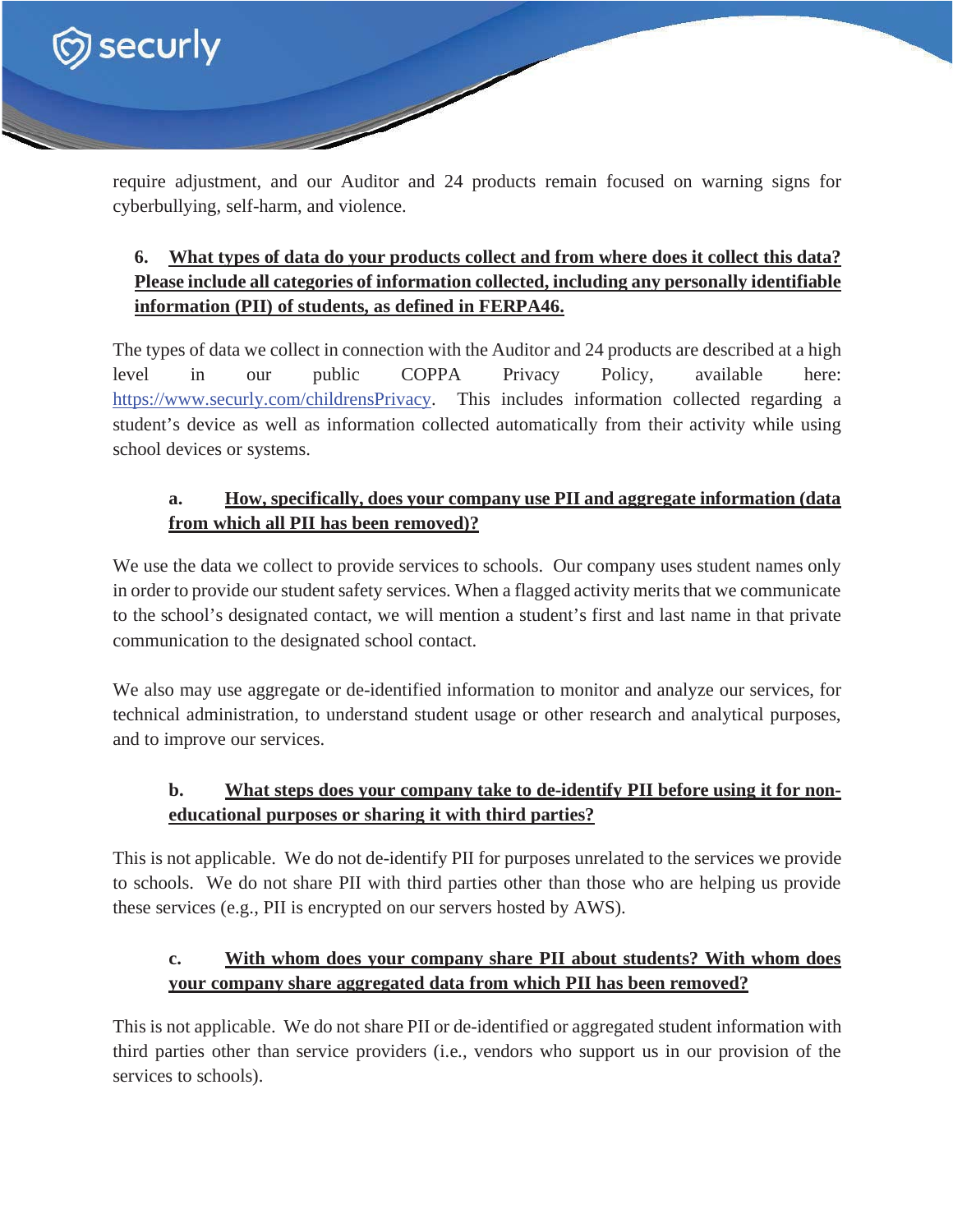

require adjustment, and our Auditor and 24 products remain focused on warning signs for cyberbullying, self-harm, and violence.

# **6. What types of data do your products collect and from where does it collect this data? Please include all categories of information collected, including any personally identifiable information (PII) of students, as defined in FERPA46.**

The types of data we collect in connection with the Auditor and 24 products are described at a high level in our public COPPA Privacy Policy, available here: https://www.securly.com/childrensPrivacy. This includes information collected regarding a student's device as well as information collected automatically from their activity while using school devices or systems.

## **a. How, specifically, does your company use PII and aggregate information (data from which all PII has been removed)?**

We use the data we collect to provide services to schools. Our company uses student names only in order to provide our student safety services. When a flagged activity merits that we communicate to the school's designated contact, we will mention a student's first and last name in that private communication to the designated school contact.

We also may use aggregate or de-identified information to monitor and analyze our services, for technical administration, to understand student usage or other research and analytical purposes, and to improve our services.

# **b. What steps does your company take to de-identify PII before using it for noneducational purposes or sharing it with third parties?**

This is not applicable. We do not de-identify PII for purposes unrelated to the services we provide to schools. We do not share PII with third parties other than those who are helping us provide these services (e.g., PII is encrypted on our servers hosted by AWS).

## **c. With whom does your company share PII about students? With whom does your company share aggregated data from which PII has been removed?**

This is not applicable. We do not share PII or de-identified or aggregated student information with third parties other than service providers (i.e., vendors who support us in our provision of the services to schools).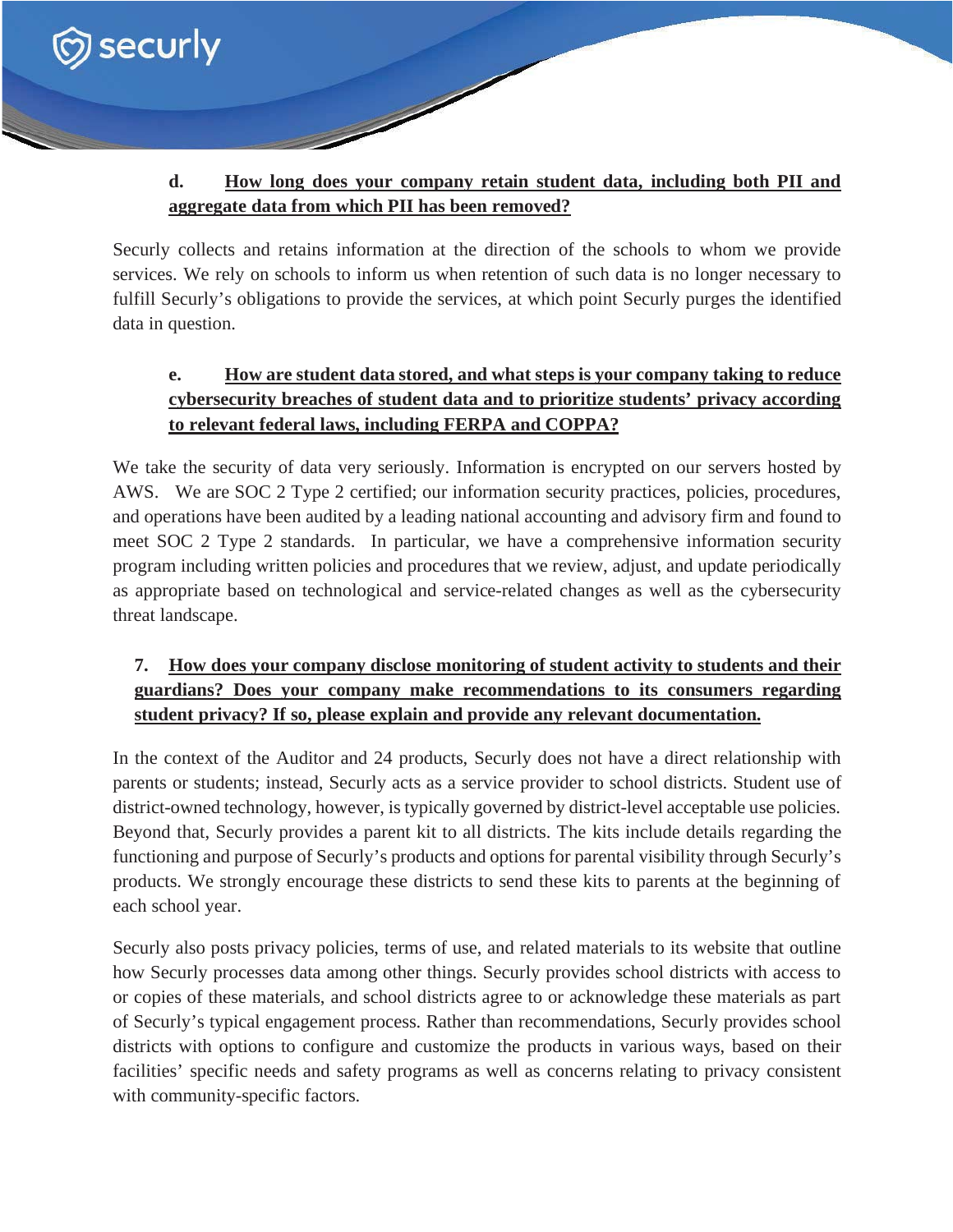

#### **d. How long does your company retain student data, including both PII and aggregate data from which PII has been removed?**

Securly collects and retains information at the direction of the schools to whom we provide services. We rely on schools to inform us when retention of such data is no longer necessary to fulfill Securly's obligations to provide the services, at which point Securly purges the identified data in question.

# **e. How are student data stored, and what steps is your company taking to reduce cybersecurity breaches of student data and to prioritize students' privacy according to relevant federal laws, including FERPA and COPPA?**

We take the security of data very seriously. Information is encrypted on our servers hosted by AWS. We are SOC 2 Type 2 certified; our information security practices, policies, procedures, and operations have been audited by a leading national accounting and advisory firm and found to meet SOC 2 Type 2 standards. In particular, we have a comprehensive information security program including written policies and procedures that we review, adjust, and update periodically as appropriate based on technological and service-related changes as well as the cybersecurity threat landscape.

# **7. How does your company disclose monitoring of student activity to students and their guardians? Does your company make recommendations to its consumers regarding student privacy? If so, please explain and provide any relevant documentation.**

In the context of the Auditor and 24 products, Securly does not have a direct relationship with parents or students; instead, Securly acts as a service provider to school districts. Student use of district-owned technology, however, is typically governed by district-level acceptable use policies. Beyond that, Securly provides a parent kit to all districts. The kits include details regarding the functioning and purpose of Securly's products and options for parental visibility through Securly's products. We strongly encourage these districts to send these kits to parents at the beginning of each school year.

Securly also posts privacy policies, terms of use, and related materials to its website that outline how Securly processes data among other things. Securly provides school districts with access to or copies of these materials, and school districts agree to or acknowledge these materials as part of Securly's typical engagement process. Rather than recommendations, Securly provides school districts with options to configure and customize the products in various ways, based on their facilities' specific needs and safety programs as well as concerns relating to privacy consistent with community-specific factors.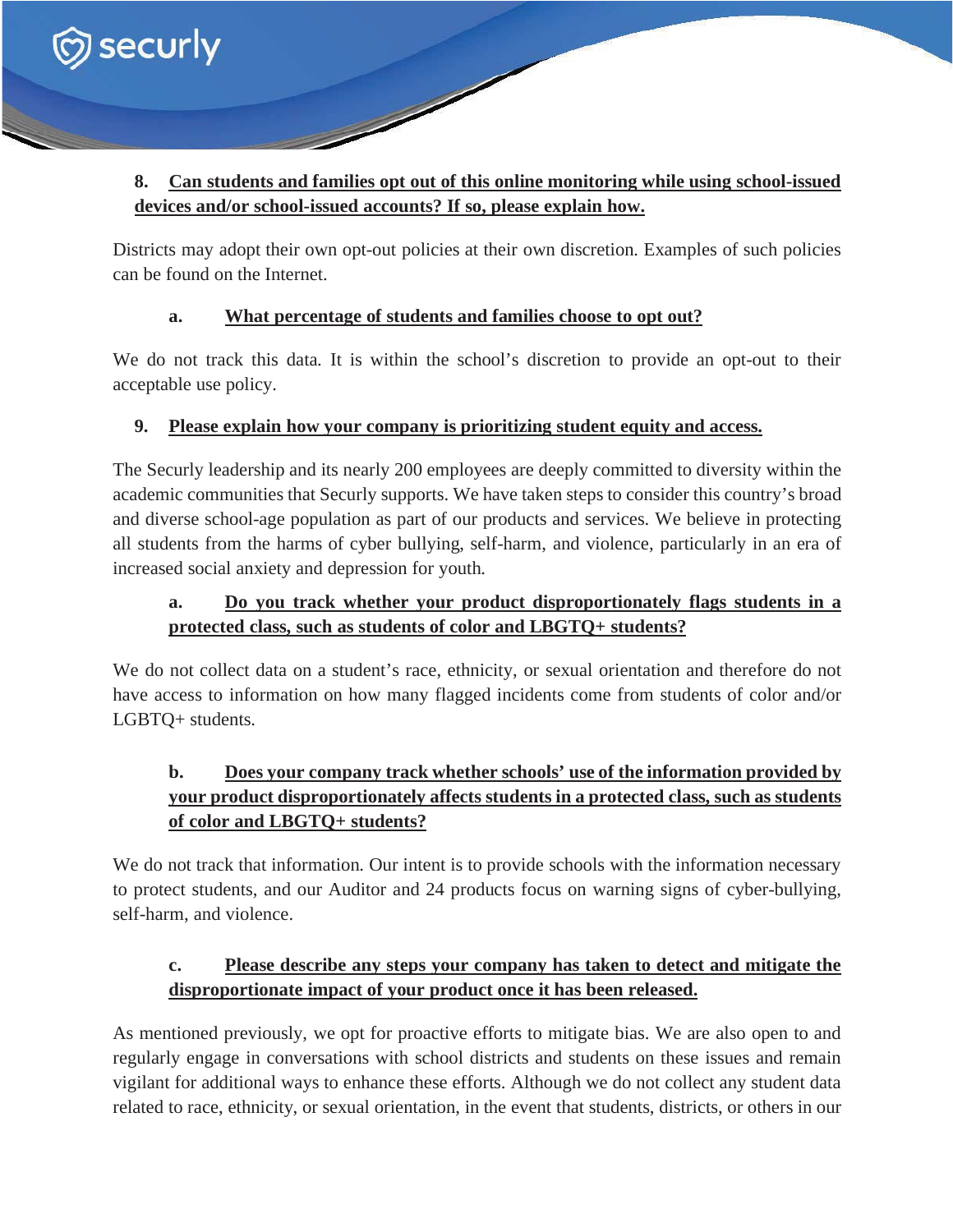

Districts may adopt their own opt-out policies at their own discretion. Examples of such policies can be found on the Internet.

#### **a. What percentage of students and families choose to opt out?**

ි) securly

We do not track this data. It is within the school's discretion to provide an opt-out to their acceptable use policy.

#### **9. Please explain how your company is prioritizing student equity and access.**

The Securly leadership and its nearly 200 employees are deeply committed to diversity within the academic communities that Securly supports. We have taken steps to consider this country's broad and diverse school-age population as part of our products and services. We believe in protecting all students from the harms of cyber bullying, self-harm, and violence, particularly in an era of increased social anxiety and depression for youth.

## **a. Do you track whether your product disproportionately flags students in a protected class, such as students of color and LBGTQ+ students?**

We do not collect data on a student's race, ethnicity, or sexual orientation and therefore do not have access to information on how many flagged incidents come from students of color and/or LGBTQ+ students.

# **b. Does your company track whether schools' use of the information provided by your product disproportionately affects students in a protected class, such as students of color and LBGTQ+ students?**

We do not track that information. Our intent is to provide schools with the information necessary to protect students, and our Auditor and 24 products focus on warning signs of cyber-bullying, self-harm, and violence.

## **c. Please describe any steps your company has taken to detect and mitigate the disproportionate impact of your product once it has been released.**

As mentioned previously, we opt for proactive efforts to mitigate bias. We are also open to and regularly engage in conversations with school districts and students on these issues and remain vigilant for additional ways to enhance these efforts. Although we do not collect any student data related to race, ethnicity, or sexual orientation, in the event that students, districts, or others in our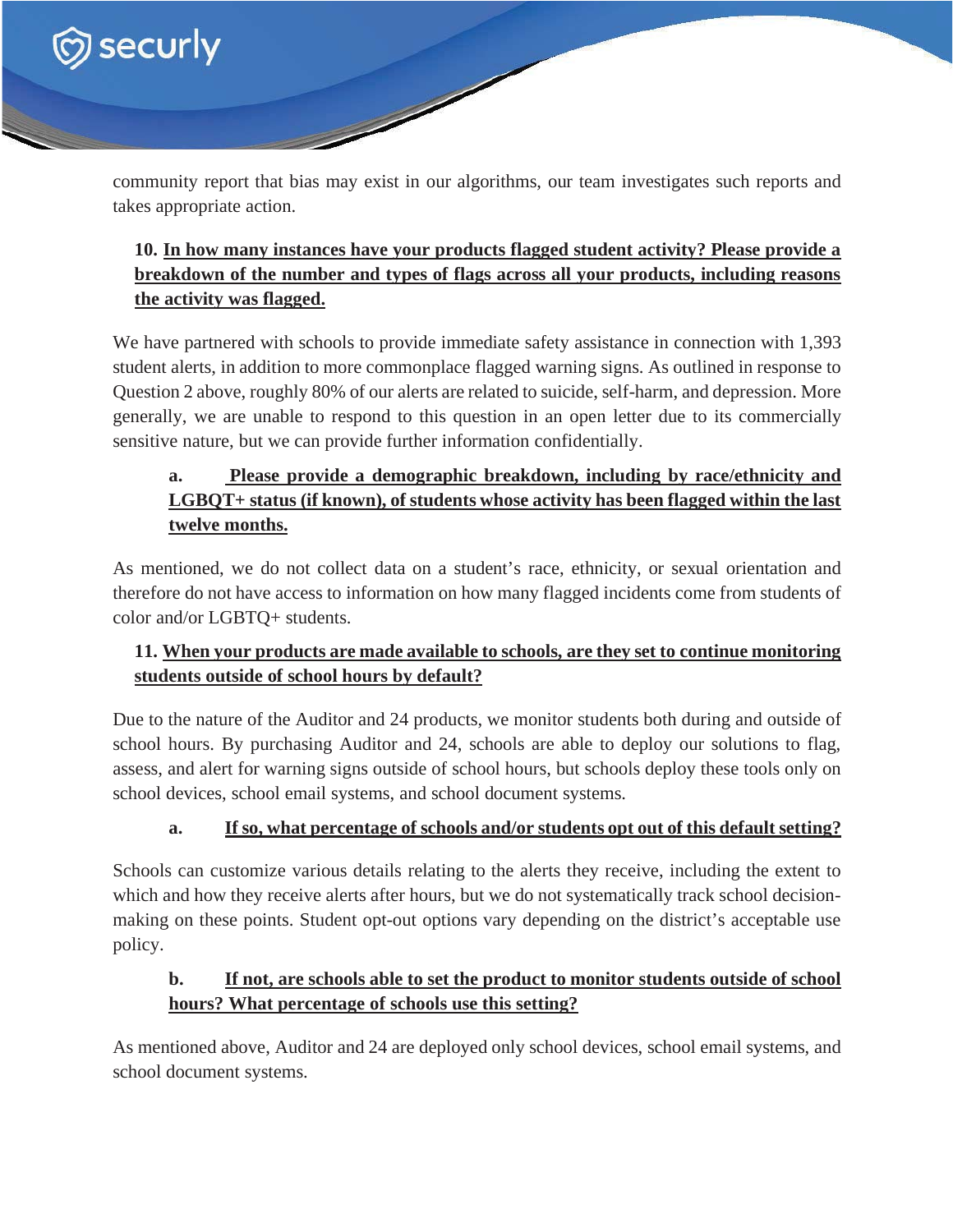

community report that bias may exist in our algorithms, our team investigates such reports and takes appropriate action.

# **10. In how many instances have your products flagged student activity? Please provide a breakdown of the number and types of flags across all your products, including reasons the activity was flagged.**

We have partnered with schools to provide immediate safety assistance in connection with 1,393 student alerts, in addition to more commonplace flagged warning signs. As outlined in response to Question 2 above, roughly 80% of our alerts are related to suicide, self-harm, and depression. More generally, we are unable to respond to this question in an open letter due to its commercially sensitive nature, but we can provide further information confidentially.

# **a. Please provide a demographic breakdown, including by race/ethnicity and LGBQT+ status (if known), of students whose activity has been flagged within the last twelve months.**

As mentioned, we do not collect data on a student's race, ethnicity, or sexual orientation and therefore do not have access to information on how many flagged incidents come from students of color and/or LGBTQ+ students.

# **11. When your products are made available to schools, are they set to continue monitoring students outside of school hours by default?**

Due to the nature of the Auditor and 24 products, we monitor students both during and outside of school hours. By purchasing Auditor and 24, schools are able to deploy our solutions to flag, assess, and alert for warning signs outside of school hours, but schools deploy these tools only on school devices, school email systems, and school document systems.

## **a. If so, what percentage of schools and/or students opt out of this default setting?**

Schools can customize various details relating to the alerts they receive, including the extent to which and how they receive alerts after hours, but we do not systematically track school decisionmaking on these points. Student opt-out options vary depending on the district's acceptable use policy.

# **b. If not, are schools able to set the product to monitor students outside of school hours? What percentage of schools use this setting?**

As mentioned above, Auditor and 24 are deployed only school devices, school email systems, and school document systems.